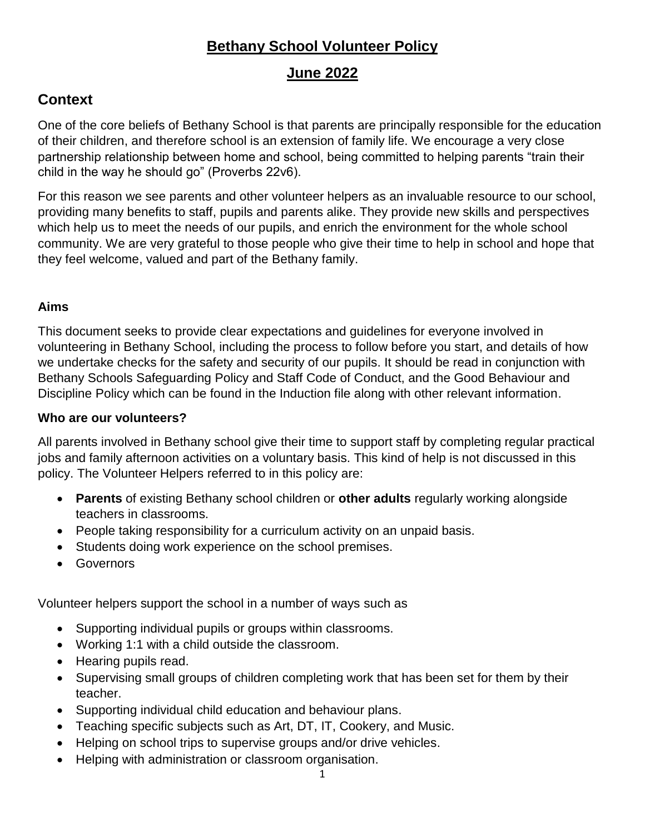# **Bethany School Volunteer Policy**

# **June 2022**

# **Context**

One of the core beliefs of Bethany School is that parents are principally responsible for the education of their children, and therefore school is an extension of family life. We encourage a very close partnership relationship between home and school, being committed to helping parents "train their child in the way he should go" (Proverbs 22v6).

For this reason we see parents and other volunteer helpers as an invaluable resource to our school, providing many benefits to staff, pupils and parents alike. They provide new skills and perspectives which help us to meet the needs of our pupils, and enrich the environment for the whole school community. We are very grateful to those people who give their time to help in school and hope that they feel welcome, valued and part of the Bethany family.

### **Aims**

This document seeks to provide clear expectations and guidelines for everyone involved in volunteering in Bethany School, including the process to follow before you start, and details of how we undertake checks for the safety and security of our pupils. It should be read in conjunction with Bethany Schools Safeguarding Policy and Staff Code of Conduct, and the Good Behaviour and Discipline Policy which can be found in the Induction file along with other relevant information.

### **Who are our volunteers?**

All parents involved in Bethany school give their time to support staff by completing regular practical jobs and family afternoon activities on a voluntary basis. This kind of help is not discussed in this policy. The Volunteer Helpers referred to in this policy are:

- **Parents** of existing Bethany school children or **other adults** regularly working alongside teachers in classrooms.
- People taking responsibility for a curriculum activity on an unpaid basis.
- Students doing work experience on the school premises.
- **•** Governors

Volunteer helpers support the school in a number of ways such as

- Supporting individual pupils or groups within classrooms.
- Working 1:1 with a child outside the classroom.
- Hearing pupils read.
- Supervising small groups of children completing work that has been set for them by their teacher.
- Supporting individual child education and behaviour plans.
- Teaching specific subjects such as Art, DT, IT, Cookery, and Music.
- Helping on school trips to supervise groups and/or drive vehicles.
- Helping with administration or classroom organisation.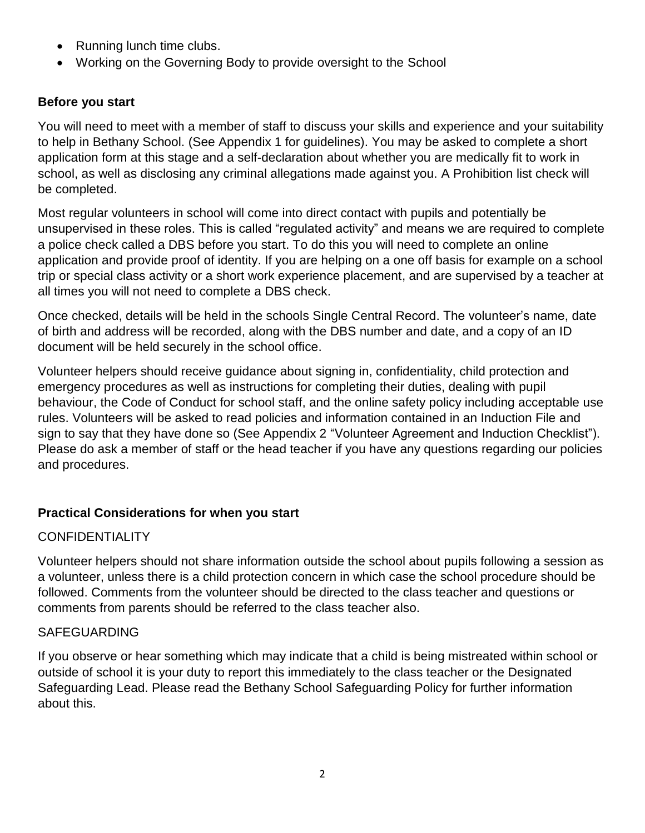- Running lunch time clubs.
- Working on the Governing Body to provide oversight to the School

# **Before you start**

You will need to meet with a member of staff to discuss your skills and experience and your suitability to help in Bethany School. (See Appendix 1 for guidelines). You may be asked to complete a short application form at this stage and a self-declaration about whether you are medically fit to work in school, as well as disclosing any criminal allegations made against you. A Prohibition list check will be completed.

Most regular volunteers in school will come into direct contact with pupils and potentially be unsupervised in these roles. This is called "regulated activity" and means we are required to complete a police check called a DBS before you start. To do this you will need to complete an online application and provide proof of identity. If you are helping on a one off basis for example on a school trip or special class activity or a short work experience placement, and are supervised by a teacher at all times you will not need to complete a DBS check.

Once checked, details will be held in the schools Single Central Record. The volunteer's name, date of birth and address will be recorded, along with the DBS number and date, and a copy of an ID document will be held securely in the school office.

Volunteer helpers should receive guidance about signing in, confidentiality, child protection and emergency procedures as well as instructions for completing their duties, dealing with pupil behaviour, the Code of Conduct for school staff, and the online safety policy including acceptable use rules. Volunteers will be asked to read policies and information contained in an Induction File and sign to say that they have done so (See Appendix 2 "Volunteer Agreement and Induction Checklist"). Please do ask a member of staff or the head teacher if you have any questions regarding our policies and procedures.

# **Practical Considerations for when you start**

# **CONFIDENTIALITY**

Volunteer helpers should not share information outside the school about pupils following a session as a volunteer, unless there is a child protection concern in which case the school procedure should be followed. Comments from the volunteer should be directed to the class teacher and questions or comments from parents should be referred to the class teacher also.

# SAFEGUARDING

If you observe or hear something which may indicate that a child is being mistreated within school or outside of school it is your duty to report this immediately to the class teacher or the Designated Safeguarding Lead. Please read the Bethany School Safeguarding Policy for further information about this.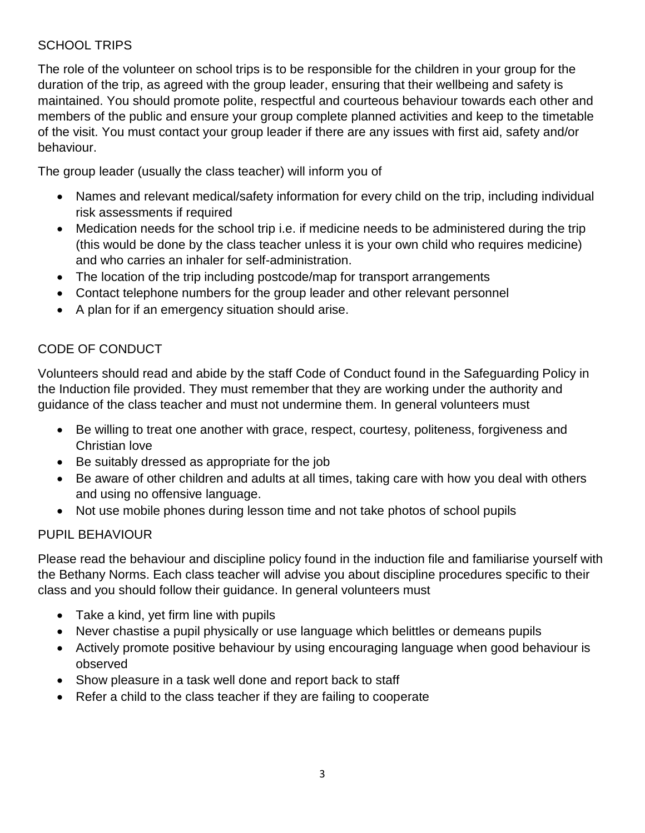# SCHOOL TRIPS

The role of the volunteer on school trips is to be responsible for the children in your group for the duration of the trip, as agreed with the group leader, ensuring that their wellbeing and safety is maintained. You should promote polite, respectful and courteous behaviour towards each other and members of the public and ensure your group complete planned activities and keep to the timetable of the visit. You must contact your group leader if there are any issues with first aid, safety and/or behaviour.

The group leader (usually the class teacher) will inform you of

- Names and relevant medical/safety information for every child on the trip, including individual risk assessments if required
- Medication needs for the school trip i.e. if medicine needs to be administered during the trip (this would be done by the class teacher unless it is your own child who requires medicine) and who carries an inhaler for self-administration.
- The location of the trip including postcode/map for transport arrangements
- Contact telephone numbers for the group leader and other relevant personnel
- A plan for if an emergency situation should arise.

# CODE OF CONDUCT

Volunteers should read and abide by the staff Code of Conduct found in the Safeguarding Policy in the Induction file provided. They must remember that they are working under the authority and guidance of the class teacher and must not undermine them. In general volunteers must

- Be willing to treat one another with grace, respect, courtesy, politeness, forgiveness and Christian love
- Be suitably dressed as appropriate for the job
- Be aware of other children and adults at all times, taking care with how you deal with others and using no offensive language.
- Not use mobile phones during lesson time and not take photos of school pupils

# PUPIL BEHAVIOUR

Please read the behaviour and discipline policy found in the induction file and familiarise yourself with the Bethany Norms. Each class teacher will advise you about discipline procedures specific to their class and you should follow their guidance. In general volunteers must

- Take a kind, yet firm line with pupils
- Never chastise a pupil physically or use language which belittles or demeans pupils
- Actively promote positive behaviour by using encouraging language when good behaviour is observed
- Show pleasure in a task well done and report back to staff
- Refer a child to the class teacher if they are failing to cooperate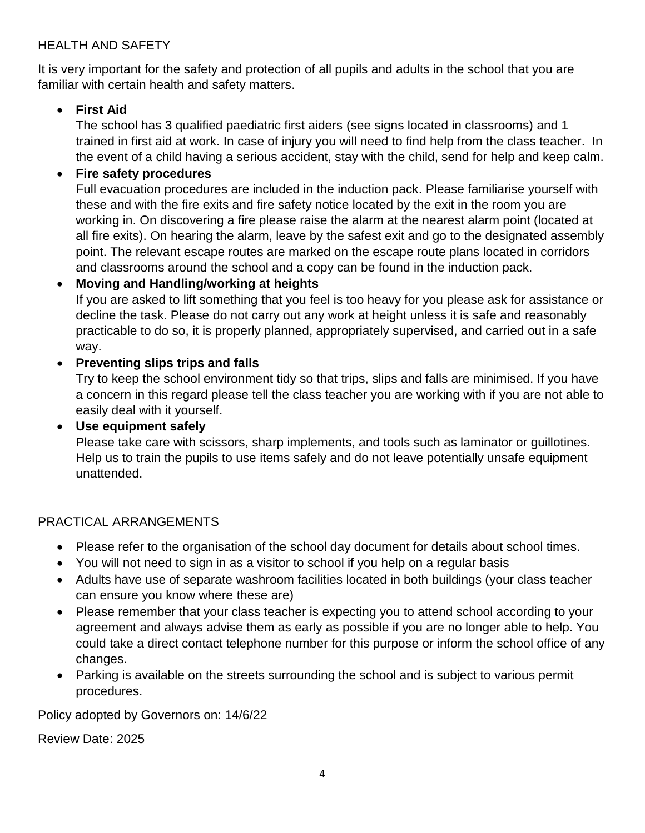## HEALTH AND SAFETY

It is very important for the safety and protection of all pupils and adults in the school that you are familiar with certain health and safety matters.

## **First Aid**

The school has 3 qualified paediatric first aiders (see signs located in classrooms) and 1 trained in first aid at work. In case of injury you will need to find help from the class teacher. In the event of a child having a serious accident, stay with the child, send for help and keep calm.

### **Fire safety procedures**

Full evacuation procedures are included in the induction pack. Please familiarise yourself with these and with the fire exits and fire safety notice located by the exit in the room you are working in. On discovering a fire please raise the alarm at the nearest alarm point (located at all fire exits). On hearing the alarm, leave by the safest exit and go to the designated assembly point. The relevant escape routes are marked on the escape route plans located in corridors and classrooms around the school and a copy can be found in the induction pack.

### **Moving and Handling/working at heights**

If you are asked to lift something that you feel is too heavy for you please ask for assistance or decline the task. Please do not carry out any work at height unless it is safe and reasonably practicable to do so, it is properly planned, appropriately supervised, and carried out in a safe way.

### **Preventing slips trips and falls**

Try to keep the school environment tidy so that trips, slips and falls are minimised. If you have a concern in this regard please tell the class teacher you are working with if you are not able to easily deal with it yourself.

#### **Use equipment safely**

Please take care with scissors, sharp implements, and tools such as laminator or guillotines. Help us to train the pupils to use items safely and do not leave potentially unsafe equipment unattended.

### PRACTICAL ARRANGEMENTS

- Please refer to the organisation of the school day document for details about school times.
- You will not need to sign in as a visitor to school if you help on a regular basis
- Adults have use of separate washroom facilities located in both buildings (your class teacher can ensure you know where these are)
- Please remember that your class teacher is expecting you to attend school according to your agreement and always advise them as early as possible if you are no longer able to help. You could take a direct contact telephone number for this purpose or inform the school office of any changes.
- Parking is available on the streets surrounding the school and is subject to various permit procedures.

Policy adopted by Governors on: 14/6/22

Review Date: 2025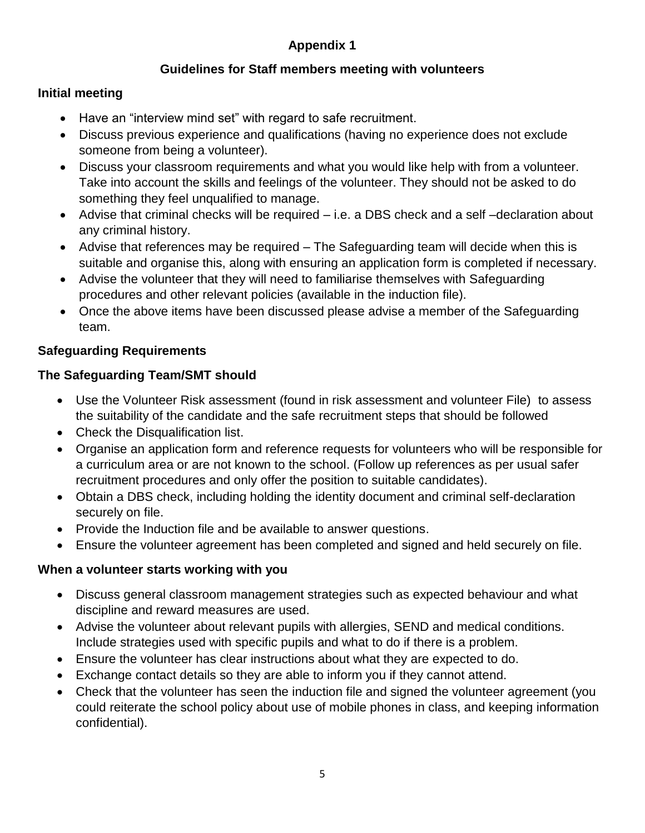# **Appendix 1**

# **Guidelines for Staff members meeting with volunteers**

## **Initial meeting**

- Have an "interview mind set" with regard to safe recruitment.
- Discuss previous experience and qualifications (having no experience does not exclude someone from being a volunteer).
- Discuss your classroom requirements and what you would like help with from a volunteer. Take into account the skills and feelings of the volunteer. They should not be asked to do something they feel unqualified to manage.
- Advise that criminal checks will be required i.e. a DBS check and a self –declaration about any criminal history.
- Advise that references may be required The Safeguarding team will decide when this is suitable and organise this, along with ensuring an application form is completed if necessary.
- Advise the volunteer that they will need to familiarise themselves with Safeguarding procedures and other relevant policies (available in the induction file).
- Once the above items have been discussed please advise a member of the Safeguarding team.

### **Safeguarding Requirements**

### **The Safeguarding Team/SMT should**

- Use the Volunteer Risk assessment (found in risk assessment and volunteer File) to assess the suitability of the candidate and the safe recruitment steps that should be followed
- Check the Disqualification list.
- Organise an application form and reference requests for volunteers who will be responsible for a curriculum area or are not known to the school. (Follow up references as per usual safer recruitment procedures and only offer the position to suitable candidates).
- Obtain a DBS check, including holding the identity document and criminal self-declaration securely on file.
- Provide the Induction file and be available to answer questions.
- Ensure the volunteer agreement has been completed and signed and held securely on file.

### **When a volunteer starts working with you**

- Discuss general classroom management strategies such as expected behaviour and what discipline and reward measures are used.
- Advise the volunteer about relevant pupils with allergies, SEND and medical conditions. Include strategies used with specific pupils and what to do if there is a problem.
- Ensure the volunteer has clear instructions about what they are expected to do.
- Exchange contact details so they are able to inform you if they cannot attend.
- Check that the volunteer has seen the induction file and signed the volunteer agreement (you could reiterate the school policy about use of mobile phones in class, and keeping information confidential).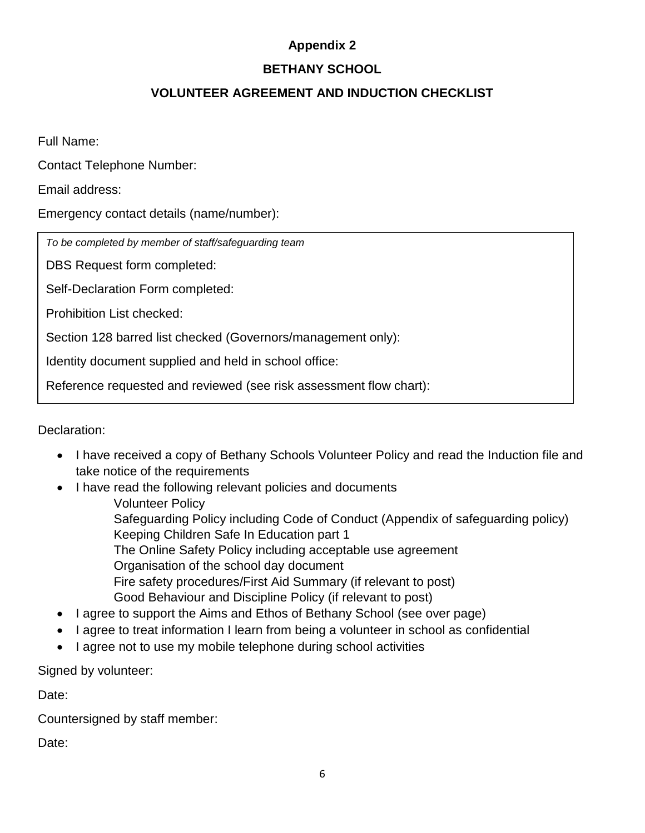# **Appendix 2**

# **BETHANY SCHOOL**

# **VOLUNTEER AGREEMENT AND INDUCTION CHECKLIST**

Full Name:

Contact Telephone Number:

Email address:

Emergency contact details (name/number):

*To be completed by member of staff/safeguarding team*

DBS Request form completed:

Self-Declaration Form completed:

Prohibition List checked:

Section 128 barred list checked (Governors/management only):

Identity document supplied and held in school office:

Reference requested and reviewed (see risk assessment flow chart):

Declaration:

- I have received a copy of Bethany Schools Volunteer Policy and read the Induction file and take notice of the requirements
- I have read the following relevant policies and documents Volunteer Policy
	- Safeguarding Policy including Code of Conduct (Appendix of safeguarding policy) Keeping Children Safe In Education part 1
	- The Online Safety Policy including acceptable use agreement
	- Organisation of the school day document
		- Fire safety procedures/First Aid Summary (if relevant to post) Good Behaviour and Discipline Policy (if relevant to post)
- I agree to support the Aims and Ethos of Bethany School (see over page)
- I agree to treat information I learn from being a volunteer in school as confidential
- I agree not to use my mobile telephone during school activities

Signed by volunteer:

Date:

Countersigned by staff member:

Date: